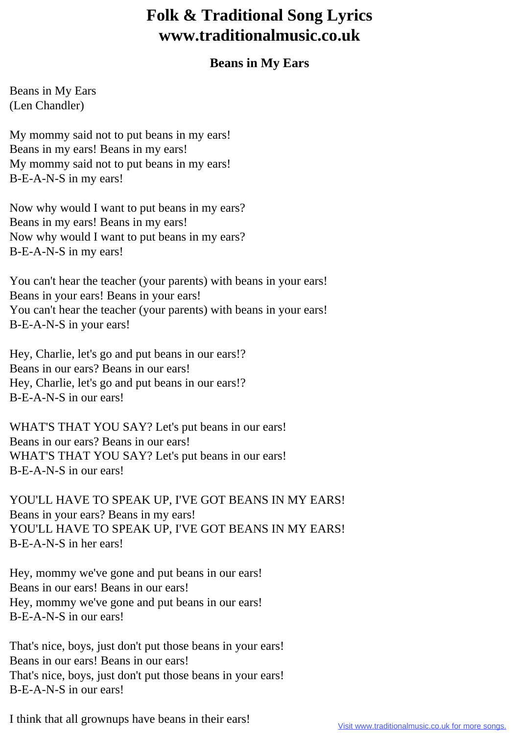## **Folk & Traditional Song Lyrics www.traditionalmusic.co.uk**

## **Beans in My Ears**

Beans in My Ears (Len Chandler)

My mommy said not to put beans in my ears! Beans in my ears! Beans in my ears! My mommy said not to put beans in my ears! B-E-A-N-S in my ears!

Now why would I want to put beans in my ears? Beans in my ears! Beans in my ears! Now why would I want to put beans in my ears? B-E-A-N-S in my ears!

You can't hear the teacher (your parents) with beans in your ears! Beans in your ears! Beans in your ears! You can't hear the teacher (your parents) with beans in your ears! B-E-A-N-S in your ears!

Hey, Charlie, let's go and put beans in our ears!? Beans in our ears? Beans in our ears! Hey, Charlie, let's go and put beans in our ears!? B-E-A-N-S in our ears!

WHAT'S THAT YOU SAY? Let's put beans in our ears! Beans in our ears? Beans in our ears! WHAT'S THAT YOU SAY? Let's put beans in our ears! B-E-A-N-S in our ears!

YOU'LL HAVE TO SPEAK UP, I'VE GOT BEANS IN MY EARS! Beans in your ears? Beans in my ears! YOU'LL HAVE TO SPEAK UP, I'VE GOT BEANS IN MY EARS! B-E-A-N-S in her ears!

Hey, mommy we've gone and put beans in our ears! Beans in our ears! Beans in our ears! Hey, mommy we've gone and put beans in our ears! B-E-A-N-S in our ears!

That's nice, boys, just don't put those beans in your ears! Beans in our ears! Beans in our ears! That's nice, boys, just don't put those beans in your ears! B-E-A-N-S in our ears!

I think that all grownups have beans in their ears!